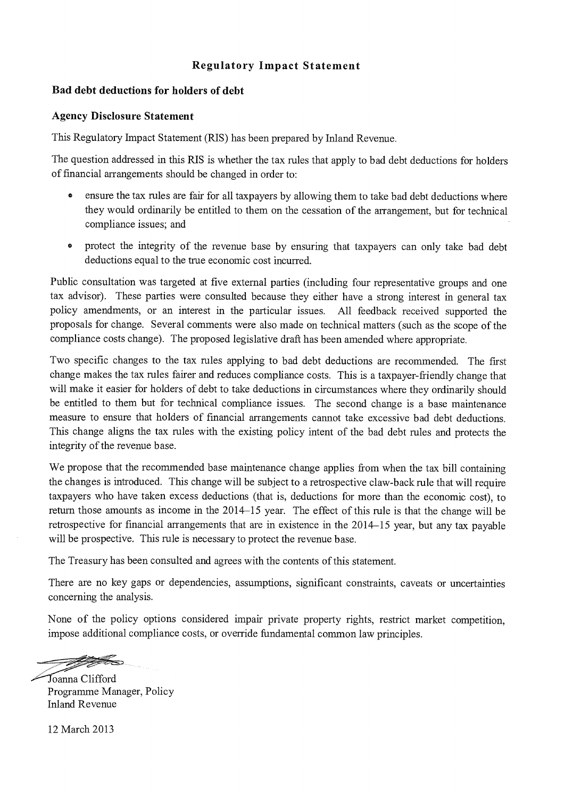### **Regulatory Impact Statement**

#### **Bad debt deductions for holders of debt**

#### **Agency Disclosure Statement**

This Regulatory Impact Statement (RIS) has been prepared by Inland Revenue.

The question addressed in this RIS is whether the tax rules that apply to bad debt deductions for holders of fmancial arrangements should be changed in order to:

- ensure the tax rules are fair for all taxpayers by allowing them to take bad debt deductions where they would ordinarily be entitled to them on the cessation of the arrangement, but for technical compliance issues; and
- protect the integrity of the revenue base by ensuring that taxpayers can only take bad debt deductions equal to the true economic cost incurred.

Public consultation was targeted at five external parties (including four representative groups and one tax advisor). These parties were consulted because they either have a strong interest in general tax policy amendments, or an interest in the particular issues. All feedback received supported the proposals for change. Several comments were also made on technical matters (such as the scope of the compliance costs change). The proposed legislative draft has been amended where appropriate.

Two specific changes to the tax rules applying to bad debt deductions are recommended. The first change makes the tax rules fairer and reduces compliance costs. This is a taxpayer-friendly change that will make it easier for holders of debt to take deductions in circumstances where they ordinarily should be entitled to them but for technical compliance issues. The second change is a base maintenance measure to ensure that holders of financial arrangements cannot take excessive bad debt deductions. This change aligns the tax rules with the existing policy intent of the bad debt rules and protects the integrity of the revenue base.

We propose that the recommended base maintenance change applies from when the tax bill containing the changes is introduced. This change will be subject to a retrospective claw-back rule that will require taxpayers who have taken excess deductions (that is, deductions for more than the economic cost), to return those amounts as income in the 2014-15 year. The effect of this rule is that the change will be retrospective for financial arrangements that are in existence in the 2014-15 year, but any tax payable will be prospective. This rule is necessary to protect the revenue base.

The Treasury has been consulted and agrees with the contents of this statement.

There are no key gaps or dependencies, assumptions, significant constraints, caveats or uncertainties concerning the analysis.

None of the policy options considered impair private property rights, restrict market competition, impose additional compliance costs, or override fundamental common law principles.

.<br>——

oanna Clifford Programme Manager, Policy Inland Revenue

12 March 2013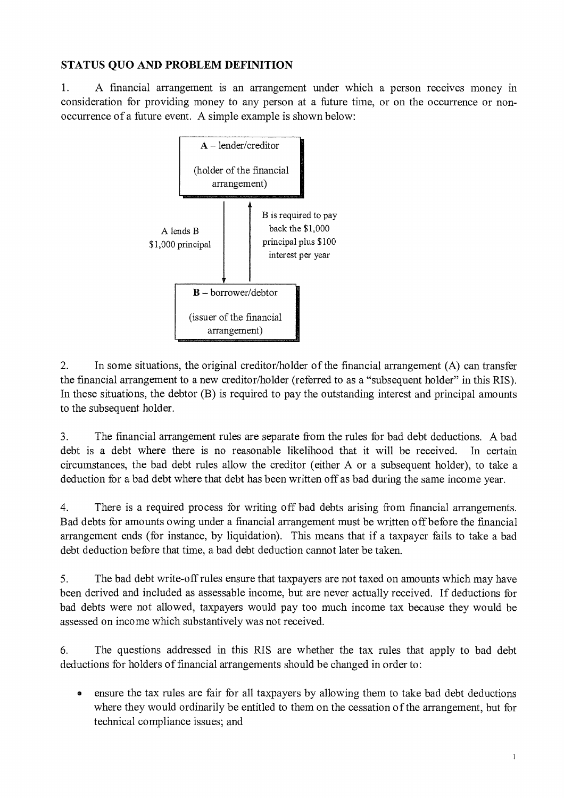### **STATUS QUO AND PROBLEM DEFINITION**

1. A financial arrangement is an arrangement under which a person receives money in consideration for providing money to any person at a future time, or on the occurrence or nonoccurrence of a future event. A simple example is shown below:



2. In some situations, the original creditor/holder of the financial arrangement (A) can transfer the financial arrangement to a new creditor/holder (referred to as a "subsequent holder" in this RIS). In these situations, the debtor (B) is required to pay the outstanding interest and principal amounts to the subsequent holder.

3. The financial arrangement rules are separate from the rules for bad debt deductions. A bad debt is a debt where there is no reasonable likelihood that it will be received. In certain circumstances, the bad debt rules allow the creditor (either A or a subsequent holder), to take a deduction for a bad debt where that debt has been written off as bad during the same income year.

4. There is a required process for writing off bad debts arising from financial arrangements. Bad debts for amounts owing under a financial arrangement must be written off before the financial arrangement ends (for instance, by liquidation). This means that if a taxpayer fails to take a bad debt deduction before that time, a bad debt deduction cannot later be taken.

5. The bad debt write-off rules ensure that taxpayers are not taxed on amounts which may have been derived and included as assessable income, but are never actually received. If deductions for bad debts were not allowed, taxpayers would pay too much income tax because they would be assessed on income which substantively was not received.

6. The questions addressed in this RIS are whether the tax rules that apply to bad debt deductions for holders of financial arrangements should be changed in order to:

• ensure the tax rules are fair for all taxpayers by allowing them to take bad debt deductions where they would ordinarily be entitled to them on the cessation of the arrangement, but for technical compliance issues; and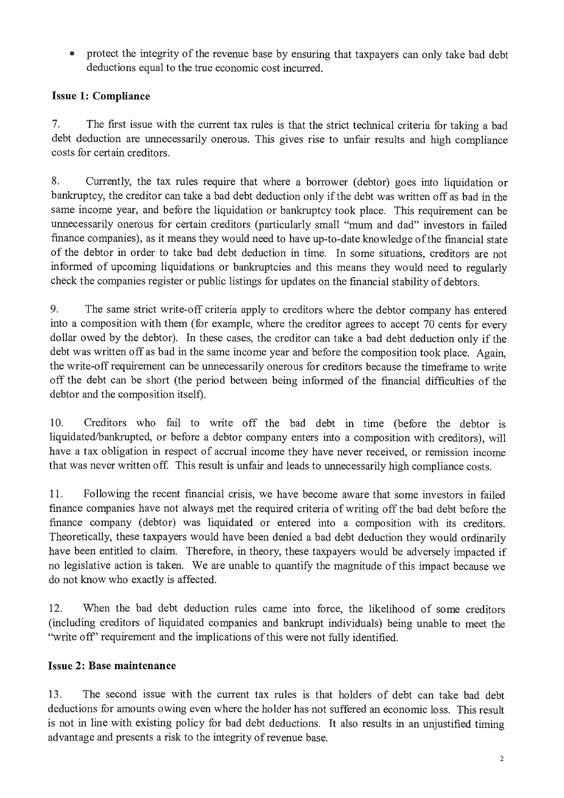protect the integrity of the revenue base by ensuring that taxpayers can only take bad debt deductions equal to the true economic cost incurred.

# Issue 1: Compliance

7. The first issue with the current tax rules is that the strict technical criteria for taking a bad debt deduction are unnecessarily onerous. This gives rise to unfair results and high compliance costs for certain creditors.

8. Currently, the tax rules require that where a borrower (debtor) goes into liquidation or bankruptcy, the creditor can take a bad debt deduction only if the debt was written off as bad in the same income year, and before the liquidation or bankruptcy took place. This requirement can be unnecessarily onerous for certain creditors (particularly small "mum and dad" investors in failed finance companies), as it means they would need to have up-to-date knowledge of the financial state of the debtor in order to take bad debt deduction in time. In some situations, creditors are not informed of upcoming liquidations or bankruptcies and this means they would need to regularly check the companies register or public listings for updates on the financial stability of debtors.

9. The same strict write-off criteria apply to creditors where the debtor company has entered into a composition with them (for example, where the creditor agrees to accept 70 cents for every dollar owed by the debtor). In these cases, the creditor can take a bad debt deduction only if the debt was written off as bad in the same income year and before the composition took place. Again, the write-off requirement can be unnecessarily onerous for creditors because the timeframe to write off the debt can be short (the period between being informed of the financial difficulties of the debtor and the composition itself).

10. Creditors who fail to write off the bad debt in time (before the debtor is liquidated/bankrupted, or before a debtor company enters into a composition with creditors), will have a tax obligation in respect of accrual income they have never received, or remission income that was never written off. This result is unfair and leads to unnecessarily high compliance costs.

11. Following the recent financial crisis, we have become aware that some investors in failed fmance companies have not always met the required criteria of writing off the bad debt before the finance company (debtor) was liquidated or entered into a composition with its creditors. Theoretically, these taxpayers would have been denied a bad debt deduction they would ordinarily have been entitled to claim. Therefore, in theory, these taxpayers would be adversely impacted if no legislative action is taken. We are unable to quantify the magnitude of this impact because we do not know who exactly is affected.

12. When the bad debt deduction rules came into force, the likelihood of some creditors (including creditors of liquidated companies and bankrupt individuals) being unable to meet the "write off" requirement and the implications of this were not fully identified.

### Issue 2: Base maintenance

13. The second issue with the current tax rules is that holders of debt can take bad debt deductions for amounts owing even where the holder has not suffered an economic loss. This result is not in line with existing policy for bad debt deductions. It also results in an unjustified timing advantage and presents a risk to the integrity of revenue base.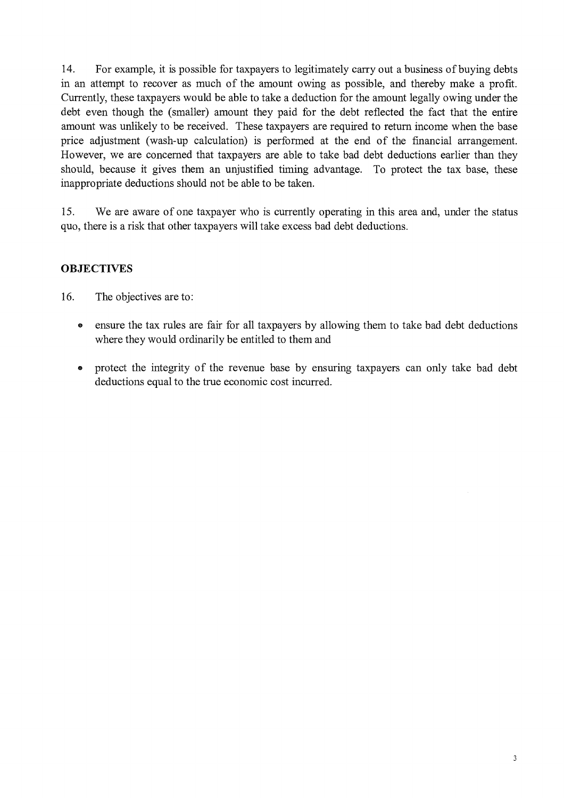14. For example, it is possible for taxpayers to legitimately carry out a business of buying debts in an attempt to recover as much of the amount owing as possible, and thereby make a profit. Currently, these taxpayers would be able to take a deduction for the amount legally owing under the debt even though the (smaller) amount they paid for the debt reflected the fact that the entire amount was unlikely to be received. These taxpayers are required to return income when the base price adjustment (wash-up calculation) is performed at the end of the financial arrangement. However, we are concerned that taxpayers are able to take bad debt deductions earlier than they should, because it gives them an unjustified timing advantage. To protect the tax base, these inappropriate deductions should not be able to be taken.

15. We are aware of one taxpayer who is currently operating in this area and, under the status quo, there is a risk that other taxpayers will take excess bad debt deductions.

# **OBJECTIVES**

16. The objectives are to:

- ensure the tax rules are fair for all taxpayers by allowing them to take bad debt deductions where they would ordinarily be entitled to them and
- protect the integrity of the revenue base by ensuring taxpayers can only take bad debt deductions equal to the true economic cost incurred.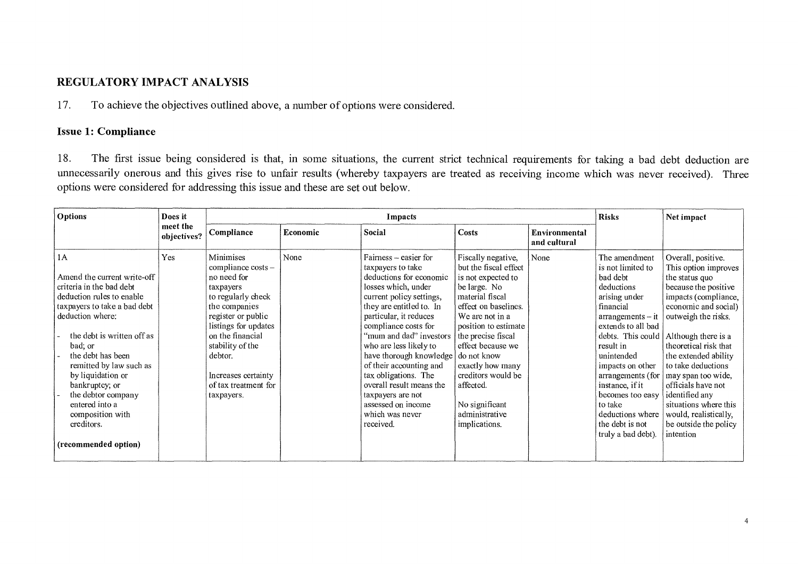### REGULATORY IMPACT ANALYSIS

17. To achieve the objectives outlined above, a number of options were considered.

### Issue 1: Compliance

18. The first issue being considered is that, in some situations, the current strict technical requirements for taking a bad debt deduction are unnecessarily onerous and this gives rise to unfair results (whereby taxpayers are treated as receiving income which was never received). Three options were considered for addressing this issue and these are set out below.

| <b>Options</b>                                                                                                                                                                                                                                                                                                                                                                   | Does it                 | <b>Risks</b><br>Impacts                                                                                                                                                                                                                                                 |          |                                                                                                                                                                                                                                                                                                                                                                                                                                                  |                                                                                                                                                                                                                                                                                                                                               |                               |                                                                                                                                                                                                                                                                                                                                                 | Net impact                                                                                                                                                                                                                                                                                                                                                                                                      |
|----------------------------------------------------------------------------------------------------------------------------------------------------------------------------------------------------------------------------------------------------------------------------------------------------------------------------------------------------------------------------------|-------------------------|-------------------------------------------------------------------------------------------------------------------------------------------------------------------------------------------------------------------------------------------------------------------------|----------|--------------------------------------------------------------------------------------------------------------------------------------------------------------------------------------------------------------------------------------------------------------------------------------------------------------------------------------------------------------------------------------------------------------------------------------------------|-----------------------------------------------------------------------------------------------------------------------------------------------------------------------------------------------------------------------------------------------------------------------------------------------------------------------------------------------|-------------------------------|-------------------------------------------------------------------------------------------------------------------------------------------------------------------------------------------------------------------------------------------------------------------------------------------------------------------------------------------------|-----------------------------------------------------------------------------------------------------------------------------------------------------------------------------------------------------------------------------------------------------------------------------------------------------------------------------------------------------------------------------------------------------------------|
|                                                                                                                                                                                                                                                                                                                                                                                  | meet the<br>objectives? | Compliance                                                                                                                                                                                                                                                              | Economic | Social                                                                                                                                                                                                                                                                                                                                                                                                                                           | Costs                                                                                                                                                                                                                                                                                                                                         | Environmental<br>and cultural |                                                                                                                                                                                                                                                                                                                                                 |                                                                                                                                                                                                                                                                                                                                                                                                                 |
| 1A<br>Amend the current write-off<br>criteria in the bad debt<br>deduction rules to enable<br>taxpayers to take a bad debt<br>deduction where:<br>the debt is written off as<br>bad; or<br>the debt has been<br>remitted by law such as<br>by liquidation or<br>bankruptcy; or<br>the debtor company<br>entered into a<br>composition with<br>creditors.<br>(recommended option) | Yes                     | <b>Minimises</b><br>compliance costs -<br>no need for<br>taxpayers<br>to regularly check<br>the companies<br>register or public<br>listings for updates<br>on the financial<br>stability of the<br>debtor.<br>Increases certainty<br>of tax treatment for<br>taxpayers. | None     | Fairness – easier for<br>taxpayers to take<br>deductions for economic<br>losses which, under<br>current policy settings,<br>they are entitled to. In<br>particular, it reduces<br>compliance costs for<br>"mum and dad" investors<br>who are less likely to<br>have thorough knowledge<br>of their accounting and<br>tax obligations. The<br>overall result means the<br>taxpayers are not<br>assessed on income<br>which was never<br>received. | Fiscally negative,<br>but the fiscal effect<br>is not expected to<br>be large. No<br>material fiscal<br>effect on baselines.<br>We are not in a<br>position to estimate<br>the precise fiscal<br>effect because we<br>do not know<br>exactly how many<br>creditors would be<br>affected.<br>No significant<br>administrative<br>implications. | None                          | The amendment<br>is not limited to<br>bad debt<br>deductions<br>arising under<br>financial<br>$arrangements - it$<br>extends to all bad<br>debts. This could<br>result in<br>unintended<br>impacts on other<br>arrangements (for<br>instance, if it<br>becomes too easy<br>to take<br>deductions where<br>the debt is not<br>truly a bad debt). | Overall, positive.<br>This option improves<br>the status quo<br>because the positive<br>impacts (compliance,<br>economic and social)<br>outweigh the risks.<br>Although there is a<br>theoretical risk that<br>the extended ability<br>to take deductions<br>may span too wide,<br>officials have not<br>identified any<br>situations where this<br>would, realistically,<br>be outside the policy<br>intention |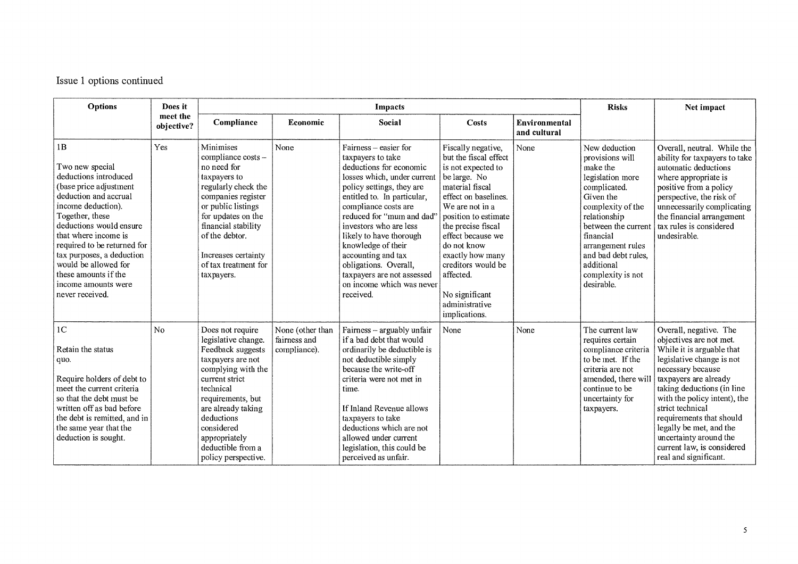Issue 1 options continued

| Options                                                                                                                                                                                                                                                                                                                                             | Does it                |                                                                                                                                                                                                                                                                            |                                                  | <b>Risks</b>                                                                                                                                                                                                                                                                                                                                                                                                            | Net impact                                                                                                                                                                                                                                                                                                                                    |                               |                                                                                                                                                                                                                                                                    |                                                                                                                                                                                                                                                                                                                                                                                     |
|-----------------------------------------------------------------------------------------------------------------------------------------------------------------------------------------------------------------------------------------------------------------------------------------------------------------------------------------------------|------------------------|----------------------------------------------------------------------------------------------------------------------------------------------------------------------------------------------------------------------------------------------------------------------------|--------------------------------------------------|-------------------------------------------------------------------------------------------------------------------------------------------------------------------------------------------------------------------------------------------------------------------------------------------------------------------------------------------------------------------------------------------------------------------------|-----------------------------------------------------------------------------------------------------------------------------------------------------------------------------------------------------------------------------------------------------------------------------------------------------------------------------------------------|-------------------------------|--------------------------------------------------------------------------------------------------------------------------------------------------------------------------------------------------------------------------------------------------------------------|-------------------------------------------------------------------------------------------------------------------------------------------------------------------------------------------------------------------------------------------------------------------------------------------------------------------------------------------------------------------------------------|
|                                                                                                                                                                                                                                                                                                                                                     | meet the<br>objective? | Compliance                                                                                                                                                                                                                                                                 | Economic                                         | Social                                                                                                                                                                                                                                                                                                                                                                                                                  | Costs                                                                                                                                                                                                                                                                                                                                         | Environmental<br>and cultural |                                                                                                                                                                                                                                                                    |                                                                                                                                                                                                                                                                                                                                                                                     |
| 1B<br>Two new special<br>deductions introduced<br>(base price adjustment<br>deduction and accrual<br>income deduction).<br>Together, these<br>deductions would ensure<br>that where income is<br>required to be returned for<br>tax purposes, a deduction<br>would be allowed for<br>these amounts if the<br>income amounts were<br>never received. | Yes                    | Minimises<br>compliance costs -<br>no need for<br>taxpayers to<br>regularly check the<br>companies register<br>or public listings<br>for updates on the<br>financial stability<br>of the debtor.<br>Increases certainty<br>of tax treatment for<br>taxpayers.              | None                                             | Fairness – easier for<br>taxpayers to take<br>deductions for economic<br>losses which, under current<br>policy settings, they are<br>entitled to. In particular,<br>compliance costs are<br>reduced for "mum and dad"<br>investors who are less<br>likely to have thorough<br>knowledge of their<br>accounting and tax<br>obligations. Overall,<br>taxpayers are not assessed<br>on income which was never<br>received. | Fiscally negative,<br>but the fiscal effect<br>is not expected to<br>be large. No<br>material fiscal<br>effect on baselines.<br>We are not in a<br>position to estimate<br>the precise fiscal<br>effect because we<br>do not know<br>exactly how many<br>creditors would be<br>affected.<br>No significant<br>administrative<br>implications. | None                          | New deduction<br>provisions will<br>make the<br>legislation more<br>complicated.<br>Given the<br>complexity of the<br>relationship<br>between the curren<br>financial<br>arrangement rules<br>and bad debt rules,<br>additional<br>complexity is not<br>desirable. | Overall, neutral. While the<br>ability for taxpayers to take<br>automatic deductions<br>where appropriate is<br>positive from a policy<br>perspective, the risk of<br>unnecessarily complicating<br>the financial arrangement<br>tax rules is considered<br>undesirable.                                                                                                            |
| 1 <sup>C</sup><br>Retain the status<br>quo.<br>Require holders of debt to<br>meet the current criteria<br>so that the debt must be<br>written off as bad before<br>the debt is remitted, and in<br>the same year that the<br>deduction is sought.                                                                                                   | No                     | Does not require<br>legislative change.<br>Feedback suggests<br>taxpayers are not<br>complying with the<br>current strict<br>technical<br>requirements, but<br>are already taking<br>deductions<br>considered<br>appropriately<br>deductible from a<br>policy perspective. | None (other than<br>fairness and<br>compliance). | Fairness - arguably unfair<br>if a bad debt that would<br>ordinarily be deductible is<br>not deductible simply<br>because the write-off<br>criteria were not met in<br>time.<br>If Inland Revenue allows<br>taxpayers to take<br>deductions which are not<br>allowed under current<br>legislation, this could be<br>perceived as unfair.                                                                                | None                                                                                                                                                                                                                                                                                                                                          | None                          | The current law<br>requires certain<br>compliance criteria<br>to be met. If the<br>criteria are not<br>amended, there wil<br>continue to be<br>uncertainty for<br>taxpayers.                                                                                       | Overall, negative. The<br>objectives are not met.<br>While it is arguable that<br>legislative change is not<br>necessary because<br>taxpayers are already<br>taking deductions (in line<br>with the policy intent), the<br>strict technical<br>requirements that should<br>legally be met, and the<br>uncertainty around the<br>current law, is considered<br>real and significant. |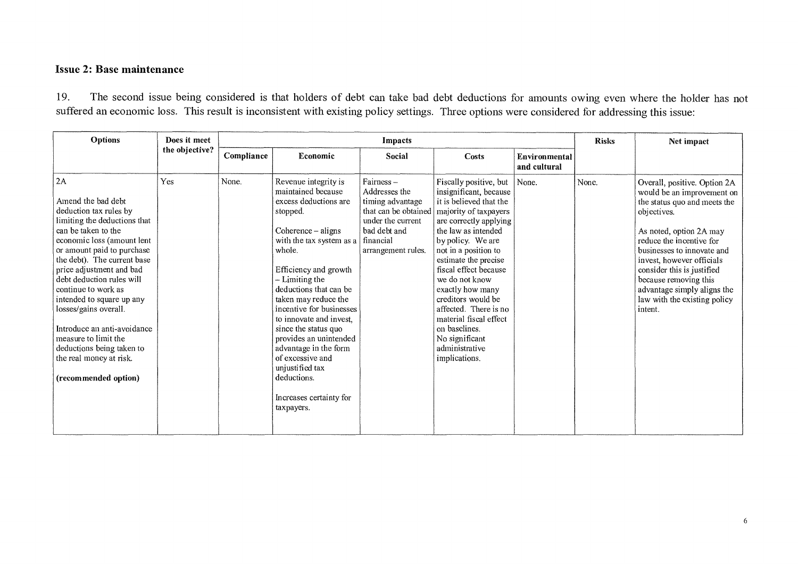### Issue 2: Base maintenance

19. The second issue being considered is that holders of debt can take bad debt deductions for amounts owing even where the holder has not suffered an economic loss. This result is inconsistent with existing policy settings. Three options were considered for addressing this issue:

| <b>Options</b>                                                                                                                                                                                                                                                                                                                                                                                                                                                                    | Does it meet   | Impacts    |                                                                                                                                                                                                                                                                                                                                                                                                                                                                             |                                                                                                                                                |                                                                                                                                                                                                                                                                                                                                                                                                                                                  |                               |       | Net impact                                                                                                                                                                                                                                                                                                                                                   |
|-----------------------------------------------------------------------------------------------------------------------------------------------------------------------------------------------------------------------------------------------------------------------------------------------------------------------------------------------------------------------------------------------------------------------------------------------------------------------------------|----------------|------------|-----------------------------------------------------------------------------------------------------------------------------------------------------------------------------------------------------------------------------------------------------------------------------------------------------------------------------------------------------------------------------------------------------------------------------------------------------------------------------|------------------------------------------------------------------------------------------------------------------------------------------------|--------------------------------------------------------------------------------------------------------------------------------------------------------------------------------------------------------------------------------------------------------------------------------------------------------------------------------------------------------------------------------------------------------------------------------------------------|-------------------------------|-------|--------------------------------------------------------------------------------------------------------------------------------------------------------------------------------------------------------------------------------------------------------------------------------------------------------------------------------------------------------------|
|                                                                                                                                                                                                                                                                                                                                                                                                                                                                                   | the objective? | Compliance | Economic                                                                                                                                                                                                                                                                                                                                                                                                                                                                    | Social                                                                                                                                         | Costs                                                                                                                                                                                                                                                                                                                                                                                                                                            | Environmental<br>and cultural |       |                                                                                                                                                                                                                                                                                                                                                              |
| 2A<br>Amend the bad debt<br>deduction tax rules by<br>limiting the deductions that<br>can be taken to the<br>economic loss (amount lent<br>or amount paid to purchase<br>the debt). The current base<br>price adjustment and bad<br>debt deduction rules will<br>continue to work as<br>intended to square up any<br>losses/gains overall.<br>Introduce an anti-avoidance<br>measure to limit the<br>deductions being taken to<br>the real money at risk.<br>(recommended option) | <b>Yes</b>     | None.      | Revenue integrity is<br>maintained because<br>excess deductions are<br>stopped.<br>$Coherence - aligns$<br>with the tax system as a<br>whole.<br>Efficiency and growth<br>- Limiting the<br>deductions that can be<br>taken may reduce the<br>incentive for businesses<br>to innovate and invest.<br>since the status quo<br>provides an unintended<br>advantage in the form<br>of excessive and<br>unjustified tax<br>deductions.<br>Increases certainty for<br>taxpayers. | Fairness-<br>Addresses the<br>timing advantage<br>that can be obtained<br>under the current<br>bad debt and<br>financial<br>arrangement rules. | Fiscally positive, but   None.<br>insignificant, because<br>it is believed that the<br>majority of taxpayers<br>are correctly applying<br>the law as intended<br>by policy. We are<br>not in a position to<br>estimate the precise<br>fiscal effect because<br>we do not know<br>exactly how many<br>creditors would be<br>affected. There is no<br>material fiscal effect<br>on baselines.<br>No significant<br>administrative<br>implications. |                               | None. | Overall, positive. Option 2A<br>would be an improvement on<br>the status quo and meets the<br>objectives.<br>As noted, option 2A may<br>reduce the incentive for<br>businesses to innovate and<br>invest, however officials<br>consider this is justified<br>because removing this<br>advantage simply aligns the<br>law with the existing policy<br>intent. |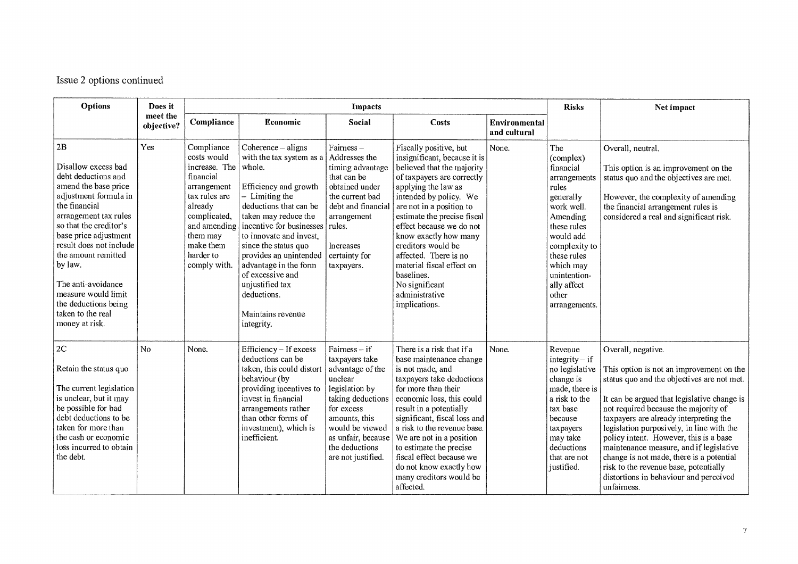## Issue 2 options continued

| <b>Options</b>                                                                                                                                                                                                                                                                                                                                                          | Does it                | Impacts                                                                                                                                                                                  |                                                                                                                                                                                                                                                                                                                                                                                    |                                                                                                                                                                                                                         |                                                                                                                                                                                                                                                                                                                                                                                                                                    |                                      |                                                                                                                                                                                                                                 | Net impact                                                                                                                                                                                                                                                                                                                                                                                                                                                                                                                    |
|-------------------------------------------------------------------------------------------------------------------------------------------------------------------------------------------------------------------------------------------------------------------------------------------------------------------------------------------------------------------------|------------------------|------------------------------------------------------------------------------------------------------------------------------------------------------------------------------------------|------------------------------------------------------------------------------------------------------------------------------------------------------------------------------------------------------------------------------------------------------------------------------------------------------------------------------------------------------------------------------------|-------------------------------------------------------------------------------------------------------------------------------------------------------------------------------------------------------------------------|------------------------------------------------------------------------------------------------------------------------------------------------------------------------------------------------------------------------------------------------------------------------------------------------------------------------------------------------------------------------------------------------------------------------------------|--------------------------------------|---------------------------------------------------------------------------------------------------------------------------------------------------------------------------------------------------------------------------------|-------------------------------------------------------------------------------------------------------------------------------------------------------------------------------------------------------------------------------------------------------------------------------------------------------------------------------------------------------------------------------------------------------------------------------------------------------------------------------------------------------------------------------|
|                                                                                                                                                                                                                                                                                                                                                                         | meet the<br>objective? | Compliance                                                                                                                                                                               | Economic                                                                                                                                                                                                                                                                                                                                                                           | Social                                                                                                                                                                                                                  | Costs                                                                                                                                                                                                                                                                                                                                                                                                                              | <b>Environmental</b><br>and cultural |                                                                                                                                                                                                                                 |                                                                                                                                                                                                                                                                                                                                                                                                                                                                                                                               |
| 2B<br>Disallow excess bad<br>debt deductions and<br>amend the base price<br>adjustment formula in<br>the financial<br>arrangement tax rules<br>so that the creditor's<br>base price adjustment<br>result does not include<br>the amount remitted<br>by law.<br>The anti-avoidance<br>measure would limit<br>the deductions being<br>taken to the real<br>money at risk. | Yes                    | Compliance<br>costs would<br>increase. The<br>financial<br>arrangement<br>tax rules are<br>already<br>complicated,<br>and amending<br>them may<br>make them<br>harder to<br>comply with. | Coherence $-$ aligns<br>with the tax system as a<br>whole.<br>Efficiency and growth<br>- Limiting the<br>deductions that can be<br>taken may reduce the<br>incentive for businesses<br>to innovate and invest,<br>since the status quo<br>provides an unintended<br>advantage in the form<br>of excessive and<br>unjustified tax<br>deductions.<br>Maintains revenue<br>integrity. | Fairness-<br>Addresses the<br>timing advantage<br>that can be<br>obtained under<br>the current bad<br>debt and financial<br>arrangement<br>rules.<br>Increases<br>certainty for<br>taxpayers.                           | Fiscally positive, but<br>insignificant, because it is<br>believed that the majority<br>of taxpayers are correctly<br>applying the law as<br>intended by policy. We<br>are not in a position to<br>estimate the precise fiscal<br>effect because we do not<br>know exactly how many<br>creditors would be<br>affected. There is no<br>material fiscal effect on<br>baselines.<br>No significant<br>administrative<br>implications. | None.                                | The<br>(complex)<br>financial<br>arrangements<br>rules<br>generally<br>work well.<br>Amending<br>these rules<br>would add<br>complexity to<br>these rules<br>which may<br>unintention-<br>ally affect<br>other<br>arrangements. | Overall, neutral.<br>This option is an improvement on the<br>status quo and the objectives are met.<br>However, the complexity of amending<br>the financial arrangement rules is<br>considered a real and significant risk.                                                                                                                                                                                                                                                                                                   |
| 2C<br>Retain the status quo<br>The current legislation<br>is unclear, but it may<br>be possible for bad<br>debt deductions to be<br>taken for more than<br>the cash or economic<br>loss incurred to obtain<br>the debt.                                                                                                                                                 | No                     | None.                                                                                                                                                                                    | Efficiency - If excess<br>deductions can be<br>taken, this could distort<br>behaviour (by<br>providing incentives to<br>invest in financial<br>arrangements rather<br>than other forms of<br>investment), which is<br>inefficient.                                                                                                                                                 | Fairness $-$ if<br>taxpayers take<br>advantage of the<br>unclear<br>legislation by<br>taking deductions<br>for excess<br>amounts, this<br>would be viewed<br>as unfair, because<br>the deductions<br>are not justified. | There is a risk that if a<br>base maintenance change<br>is not made, and<br>taxpayers take deductions<br>for more than their<br>economic loss, this could<br>result in a potentially<br>significant, fiscal loss and<br>a risk to the revenue base.<br>We are not in a position<br>to estimate the precise<br>fiscal effect because we<br>do not know exactly how<br>many creditors would be<br>affected.                          | None.                                | Revenue<br>integrity $-$ if<br>no legislative<br>change is<br>made, there is<br>a risk to the<br>tax base<br>because<br>taxpayers<br>may take<br>deductions<br>that are not<br>iustified.                                       | Overall, negative.<br>This option is not an improvement on the<br>status quo and the objectives are not met.<br>It can be argued that legislative change is<br>not required because the majority of<br>taxpayers are already interpreting the<br>legislation purposively, in line with the<br>policy intent. However, this is a base<br>maintenance measure, and if legislative<br>change is not made, there is a potential<br>risk to the revenue base, potentially<br>distortions in behaviour and perceived<br>unfairness. |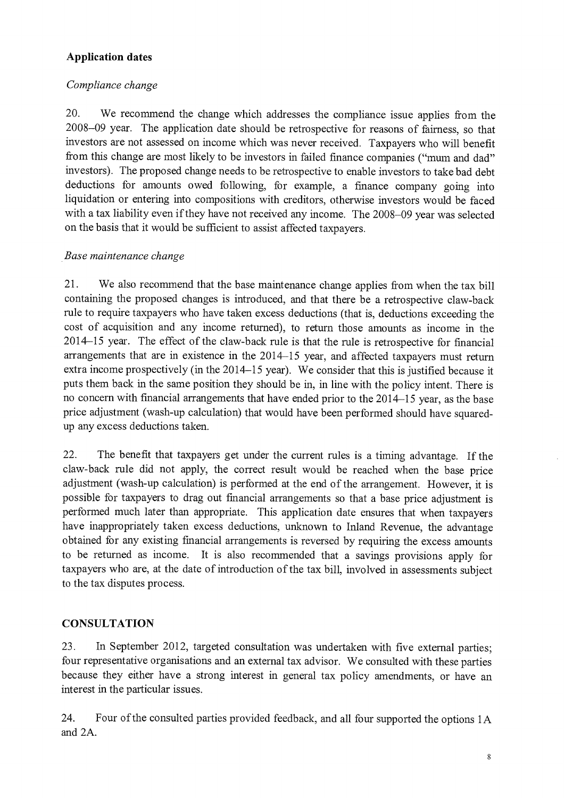### **Application dates**

### *Compliance change*

20. We recommend the change which addresses the compliance issue applies from the 2008-09 year. The application date should be retrospective for reasons of fairness, so that investors are not assessed on income which was never received. Taxpayers who will benefit from this change are most likely to be investors in failed finance companies ("mum and dad" investors). The proposed change needs to be retrospective to enable investors to take bad debt deductions for amounts owed following, for example, a finance company going into liquidation or entering into compositions with creditors, otherwise investors would be faced with a tax liability even if they have not received any income. The 2008-09 year was selected on the basis that it would be sufficient to assist affected taxpayers.

### *Base maintenance change*

21. We also recommend that the base maintenance change applies from when the tax bill containing the proposed changes is introduced, and that there be a retrospective claw-back rule to require taxpayers who have taken excess deductions (that is, deductions exceeding the cost of acquisition and any income returned), to return those amounts as income in the 2014-15 year. The effect of the claw-back rule is that the rule is retrospective for financial arrangements that are in existence in the 2014-15 year, and affected taxpayers must return extra income prospectively (in the 2014-15 year). We consider that this is justified because it puts them back in the same position they should be in, in line with the policy intent. There is no concern with financial arrangements that have ended prior to the 2014-15 year, as the base price adjustment (wash-up calculation) that would have been performed should have squaredup any excess deductions taken.

22. The benefit that taxpayers get under the current rules is a timing advantage. If the claw-back rule did not apply, the correct result would be reached when the base price adjustment (wash-up calculation) is performed at the end of the arrangement. However, it is possible for taxpayers to drag out financial arrangements so that a base price adjustment is performed much later than appropriate. This application date ensures that when taxpayers have inappropriately taken excess deductions, unknown to Inland Revenue, the advantage obtained for any existing financial arrangements is reversed by requiring the excess amounts to be returned as income. It is also recommended that a savings provisions apply for taxpayers who are, at the date of introduction of the tax bill, involved in assessments subject to the tax disputes process.

### **CONSULTATION**

23. In September 2012, targeted consultation was undertaken with five external parties; four representative organisations and an external tax advisor. We consulted with these parties because they either have a strong interest in general tax policy amendments, or have an interest in the particular issues.

24. Four of the consulted parties provided feedback, and all four supported the options lA and 2A.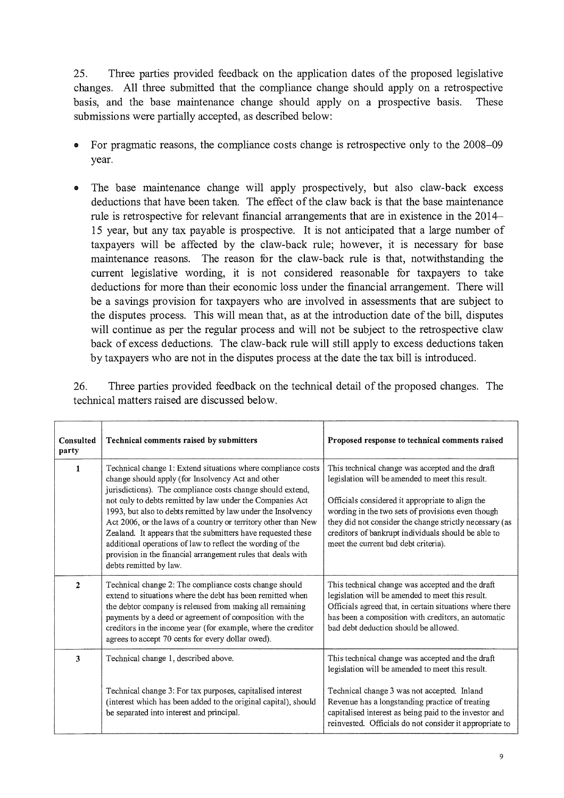25. Three parties provided feedback on the application dates of the proposed legislative changes. All three submitted that the compliance change should apply on a retrospective basis, and the base maintenance change should apply on a prospective basis. These submissions were partially accepted, as described below:

- For pragmatic reasons, the compliance costs change is retrospective only to the 2008–09 year.
- o The base maintenance change will apply prospectively, but also claw-back excess deductions that have been taken. The effect of the claw back is that the base maintenance rule is retrospective for relevant financial arrangements that are in existence in the 2014- 15 year, but any tax payable is prospective. It is not anticipated that a large number of taxpayers will be affected by the claw-back rule; however, it is necessary for base maintenance reasons. The reason for the claw-back rule is that, notwithstanding the current legislative wording, it is not considered reasonable for taxpayers to take deductions for more than their economic loss under the financial arrangement. There will be a savings provision for taxpayers who are involved in assessments that are subject to the disputes process. This will mean that, as at the introduction date of the bill, disputes will continue as per the regular process and will not be subject to the retrospective claw back of excess deductions. The claw-back rule will still apply to excess deductions taken by taxpayers who are not in the disputes process at the date the tax bill is introduced.

26. Three parties provided feedback on the technical detail of the proposed changes. The technical matters raised are discussed below.

| Consulted<br>party | Technical comments raised by submitters                                                                                                                                                                                                                                                                                                                                                                                                                                                                                                                                                                | Proposed response to technical comments raised                                                                                                                                                                                                                                                                                                                          |
|--------------------|--------------------------------------------------------------------------------------------------------------------------------------------------------------------------------------------------------------------------------------------------------------------------------------------------------------------------------------------------------------------------------------------------------------------------------------------------------------------------------------------------------------------------------------------------------------------------------------------------------|-------------------------------------------------------------------------------------------------------------------------------------------------------------------------------------------------------------------------------------------------------------------------------------------------------------------------------------------------------------------------|
| 1                  | Technical change 1: Extend situations where compliance costs<br>change should apply (for Insolvency Act and other<br>jurisdictions). The compliance costs change should extend,<br>not only to debts remitted by law under the Companies Act<br>1993, but also to debts remitted by law under the Insolvency<br>Act 2006, or the laws of a country or territory other than New<br>Zealand. It appears that the submitters have requested these<br>additional operations of law to reflect the wording of the<br>provision in the financial arrangement rules that deals with<br>debts remitted by law. | This technical change was accepted and the draft<br>legislation will be amended to meet this result.<br>Officials considered it appropriate to align the<br>wording in the two sets of provisions even though<br>they did not consider the change strictly necessary (as<br>creditors of bankrupt individuals should be able to<br>meet the current bad debt criteria). |
| $\overline{c}$     | Technical change 2: The compliance costs change should<br>extend to situations where the debt has been remitted when<br>the debtor company is released from making all remaining<br>payments by a deed or agreement of composition with the<br>creditors in the income year (for example, where the creditor<br>agrees to accept 70 cents for every dollar owed).                                                                                                                                                                                                                                      | This technical change was accepted and the draft<br>legislation will be amended to meet this result.<br>Officials agreed that, in certain situations where there<br>has been a composition with creditors, an automatic<br>had debt deduction should be allowed.                                                                                                        |
| 3                  | Technical change 1, described above.<br>Technical change 3: For tax purposes, capitalised interest<br>(interest which has been added to the original capital), should<br>be separated into interest and principal.                                                                                                                                                                                                                                                                                                                                                                                     | This technical change was accepted and the draft<br>legislation will be amended to meet this result.<br>Technical change 3 was not accepted. Inland<br>Revenue has a longstanding practice of treating<br>capitalised interest as being paid to the investor and<br>reinvested. Officials do not consider it appropriate to                                             |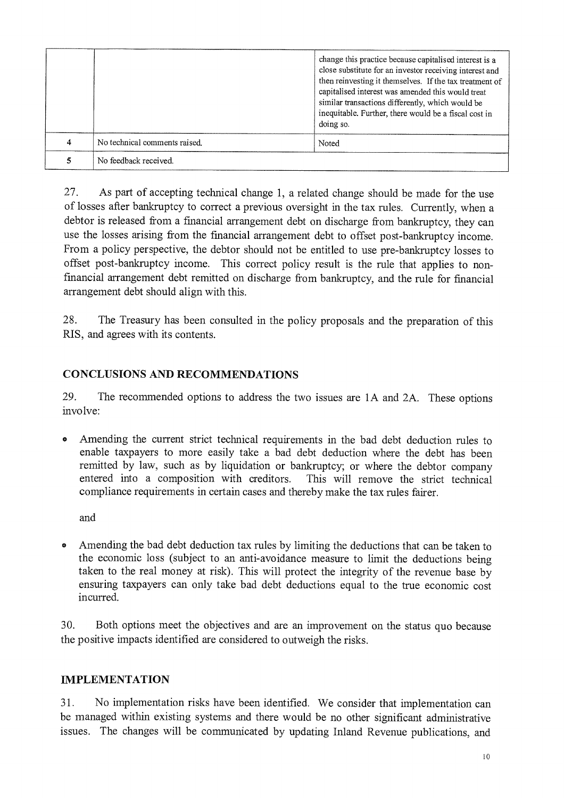|                               | change this practice because capitalised interest is a<br>close substitute for an investor receiving interest and<br>then reinvesting it themselves. If the tax treatment of<br>capitalised interest was amended this would treat<br>similar transactions differently, which would be<br>inequitable. Further, there would be a fiscal cost in<br>doing so. |
|-------------------------------|-------------------------------------------------------------------------------------------------------------------------------------------------------------------------------------------------------------------------------------------------------------------------------------------------------------------------------------------------------------|
| No technical comments raised. | Noted                                                                                                                                                                                                                                                                                                                                                       |
| No feedback received.         |                                                                                                                                                                                                                                                                                                                                                             |

27. As part of accepting technical change 1, a related change should be made for the use of losses after bankruptcy to correct a previous oversight in the tax rules. Currently, when a debtor is released from a financial arrangement debt on discharge from bankruptcy, they can use the losses arising from the financial arrangement debt to offset post-bankruptcy income. From a policy perspective, the debtor should not be entitled to use pre-bankruptcy losses to offset post-bankruptcy income. This correct policy result is the rule that applies to nonfmancial arrangement debt remitted on discharge from bankruptcy, and the rule for financial arrangement debt should align with this.

28. The Treasury has been consulted in the policy proposals and the preparation of this RIS, and agrees with its contents.

### CONCLUSIONS AND RECOMMENDATIONS

29. The recommended options to address the two issues are 1A and 2A. These options involve:

o Amending the current strict technical requirements in the bad debt deduction rules to enable taxpayers to more easily take a bad debt deduction where the debt has been remitted by law, such as by liquidation or bankruptcy; or where the debtor company entered into a composition with creditors. This will remove the strict technical compliance requirements in certain cases and thereby make the tax rules fairer.

and

o Amending the bad debt deduction tax rules by limiting the deductions that can be taken to the economic loss (subject to an anti-avoidance measure to limit the deductions being taken to the real money at risk). This will protect the integrity of the revenue base by ensuring taxpayers can only take bad debt deductions equal to the true economic cost incurred.

30. Both options meet the objectives and are an improvement on the status quo because the positive impacts identified are considered to outweigh the risks.

#### IMPLEMENTATION

31. No implementation risks have been identified. We consider that implementation can be managed within existing systems and there would be no other significant administrative issues. The changes will be communicated by updating Inland Revenue publications, and